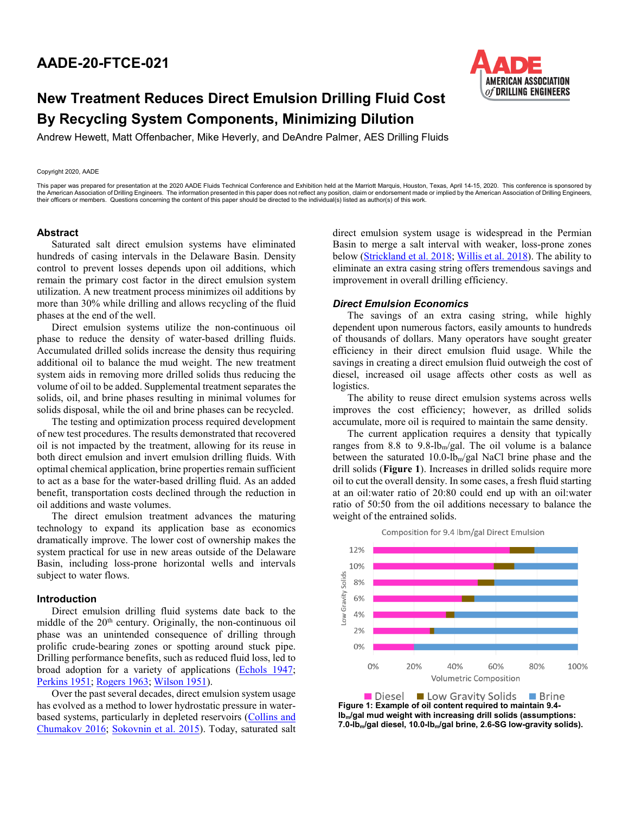# **AADE-20-FTCE-021**



# **New Treatment Reduces Direct Emulsion Drilling Fluid Cost By Recycling System Components, Minimizing Dilution**

Andrew Hewett, Matt Offenbacher, Mike Heverly, and DeAndre Palmer, AES Drilling Fluids

#### Copyright 2020, AADE

This paper was prepared for presentation at the 2020 AADE Fluids Technical Conference and Exhibition held at the Marriott Marquis, Houston, Texas, April 14-15, 2020. This conference is sponsored by the American Association of Drilling Engineers. The information presented in this paper does not reflect any position, claim or endorsement made or implied by the American Association of Drilling Engineers, the information their officers or members. Questions concerning the content of this paper should be directed to the individual(s) listed as author(s) of this work.

### **Abstract**

Saturated salt direct emulsion systems have eliminated hundreds of casing intervals in the Delaware Basin. Density control to prevent losses depends upon oil additions, which remain the primary cost factor in the direct emulsion system utilization. A new treatment process minimizes oil additions by more than 30% while drilling and allows recycling of the fluid phases at the end of the well.

Direct emulsion systems utilize the non-continuous oil phase to reduce the density of water-based drilling fluids. Accumulated drilled solids increase the density thus requiring additional oil to balance the mud weight. The new treatment system aids in removing more drilled solids thus reducing the volume of oil to be added. Supplemental treatment separates the solids, oil, and brine phases resulting in minimal volumes for solids disposal, while the oil and brine phases can be recycled.

The testing and optimization process required development of new test procedures. The results demonstrated that recovered oil is not impacted by the treatment, allowing for its reuse in both direct emulsion and invert emulsion drilling fluids. With optimal chemical application, brine properties remain sufficient to act as a base for the water-based drilling fluid. As an added benefit, transportation costs declined through the reduction in oil additions and waste volumes.

The direct emulsion treatment advances the maturing technology to expand its application base as economics dramatically improve. The lower cost of ownership makes the system practical for use in new areas outside of the Delaware Basin, including loss-prone horizontal wells and intervals subject to water flows.

#### **Introduction**

Direct emulsion drilling fluid systems date back to the middle of the 20<sup>th</sup> century. Originally, the non-continuous oil phase was an unintended consequence of drilling through prolific crude-bearing zones or spotting around stuck pipe. Drilling performance benefits, such as reduced fluid loss, led to broad adoption for a variety of applications [\(Echols 1947;](#page-4-0) [Perkins 1951;](#page-4-1) [Rogers 1963;](#page-4-2) [Wilson 1951\)](#page-4-3).

Over the past several decades, direct emulsion system usage has evolved as a method to lower hydrostatic pressure in waterbased systems, particularly in depleted reservoirs (Collins and [Chumakov 2016;](#page-4-4) [Sokovnin et al. 2015\)](#page-4-5). Today, saturated salt <span id="page-0-0"></span>direct emulsion system usage is widespread in the Permian Basin to merge a salt interval with weaker, loss-prone zones below [\(Strickland et al. 2018;](#page-4-6) [Willis et al. 2018\)](#page-0-0). The ability to eliminate an extra casing string offers tremendous savings and improvement in overall drilling efficiency.

#### *Direct Emulsion Economics*

The savings of an extra casing string, while highly dependent upon numerous factors, easily amounts to hundreds of thousands of dollars. Many operators have sought greater efficiency in their direct emulsion fluid usage. While the savings in creating a direct emulsion fluid outweigh the cost of diesel, increased oil usage affects other costs as well as logistics.

The ability to reuse direct emulsion systems across wells improves the cost efficiency; however, as drilled solids accumulate, more oil is required to maintain the same density.

The current application requires a density that typically ranges from 8.8 to 9.8-lb<sub>m</sub>/gal. The oil volume is a balance between the saturated 10.0-lbm/gal NaCl brine phase and the drill solids (**Figure 1**). Increases in drilled solids require more oil to cut the overall density. In some cases, a fresh fluid starting at an oil:water ratio of 20:80 could end up with an oil:water ratio of 50:50 from the oil additions necessary to balance the weight of the entrained solids.



Diesel Low Gravity Solids ■ Brine **Figure 1: Example of oil content required to maintain 9.4 lbm/gal mud weight with increasing drill solids (assumptions: 7.0-lbm/gal diesel, 10.0-lbm/gal brine, 2.6-SG low-gravity solids).**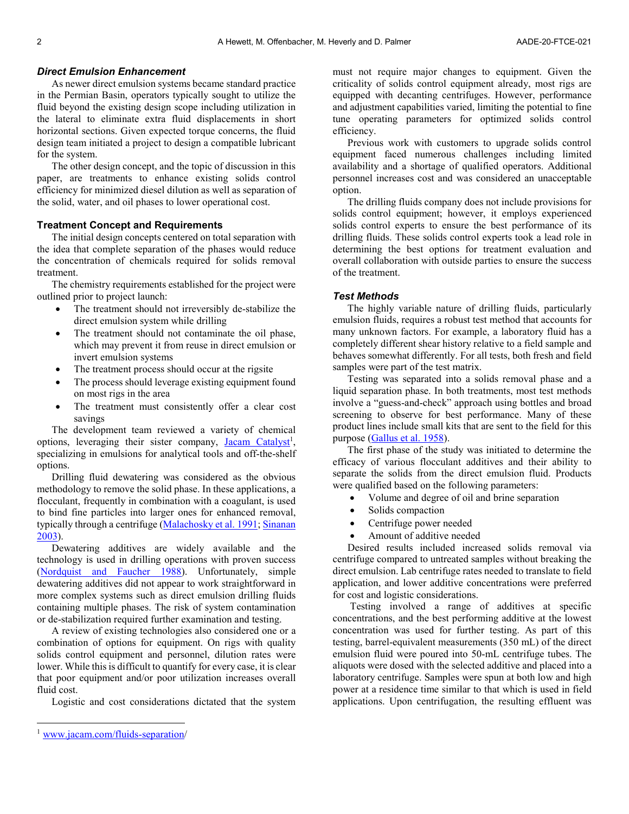# *Direct Emulsion Enhancement*

As newer direct emulsion systems became standard practice in the Permian Basin, operators typically sought to utilize the fluid beyond the existing design scope including utilization in the lateral to eliminate extra fluid displacements in short horizontal sections. Given expected torque concerns, the fluid design team initiated a project to design a compatible lubricant for the system.

The other design concept, and the topic of discussion in this paper, are treatments to enhance existing solids control efficiency for minimized diesel dilution as well as separation of the solid, water, and oil phases to lower operational cost.

# **Treatment Concept and Requirements**

The initial design concepts centered on total separation with the idea that complete separation of the phases would reduce the concentration of chemicals required for solids removal treatment.

The chemistry requirements established for the project were outlined prior to project launch:

- The treatment should not irreversibly de-stabilize the direct emulsion system while drilling
- The treatment should not contaminate the oil phase, which may prevent it from reuse in direct emulsion or invert emulsion systems
- The treatment process should occur at the rigsite
- The process should leverage existing equipment found on most rigs in the area
- The treatment must consistently offer a clear cost savings

The development team reviewed a variety of chemical options, leveraging their sister company, Jacam Catalyst<sup>1</sup>, specializing in emulsions for analytical tools and off-the-shelf options.

Drilling fluid dewatering was considered as the obvious methodology to remove the solid phase. In these applications, a flocculant, frequently in combination with a coagulant, is used to bind fine particles into larger ones for enhanced removal, typically through a centrifuge [\(Malachosky](#page-4-7) et al. 1991; Sinanan [2003\)](#page-4-2).

Dewatering additives are widely available and the technology is used in drilling operations with proven success (Nordquist [and Faucher](#page-4-8) 1988). Unfortunately, simple dewatering additives did not appear to work straightforward in more complex systems such as direct emulsion drilling fluids containing multiple phases. The risk of system contamination or de-stabilization required further examination and testing.

A review of existing technologies also considered one or a combination of options for equipment. On rigs with quality solids control equipment and personnel, dilution rates were lower. While this is difficult to quantify for every case, it is clear that poor equipment and/or poor utilization increases overall fluid cost.

Logistic and cost considerations dictated that the system

must not require major changes to equipment. Given the criticality of solids control equipment already, most rigs are equipped with decanting centrifuges. However, performance and adjustment capabilities varied, limiting the potential to fine tune operating parameters for optimized solids control efficiency.

Previous work with customers to upgrade solids control equipment faced numerous challenges including limited availability and a shortage of qualified operators. Additional personnel increases cost and was considered an unacceptable option.

The drilling fluids company does not include provisions for solids control equipment; however, it employs experienced solids control experts to ensure the best performance of its drilling fluids. These solids control experts took a lead role in determining the best options for treatment evaluation and overall collaboration with outside parties to ensure the success of the treatment.

# *Test Methods*

The highly variable nature of drilling fluids, particularly emulsion fluids, requires a robust test method that accounts for many unknown factors. For example, a laboratory fluid has a completely different shear history relative to a field sample and behaves somewhat differently. For all tests, both fresh and field samples were part of the test matrix.

Testing was separated into a solids removal phase and a liquid separation phase. In both treatments, most test methods involve a "guess-and-check" approach using bottles and broad screening to observe for best performance. Many of these product lines include small kits that are sent to the field for this purpose [\(Gallus](#page-4-9) et al. 1958).

The first phase of the study was initiated to determine the efficacy of various flocculant additives and their ability to separate the solids from the direct emulsion fluid. Products were qualified based on the following parameters:

- Volume and degree of oil and brine separation
- Solids compaction
- Centrifuge power needed
- Amount of additive needed

Desired results included increased solids removal via centrifuge compared to untreated samples without breaking the direct emulsion. Lab centrifuge rates needed to translate to field application, and lower additive concentrations were preferred for cost and logistic considerations.

Testing involved a range of additives at specific concentrations, and the best performing additive at the lowest concentration was used for further testing. As part of this testing, barrel-equivalent measurements (350 mL) of the direct emulsion fluid were poured into 50-mL centrifuge tubes. The aliquots were dosed with the selected additive and placed into a laboratory centrifuge. Samples were spun at both low and high power at a residence time similar to that which is used in field applications. Upon centrifugation, the resulting effluent was

[www.jacam.com/fluids-separation/](http://www.jacam.com/fluids-separation)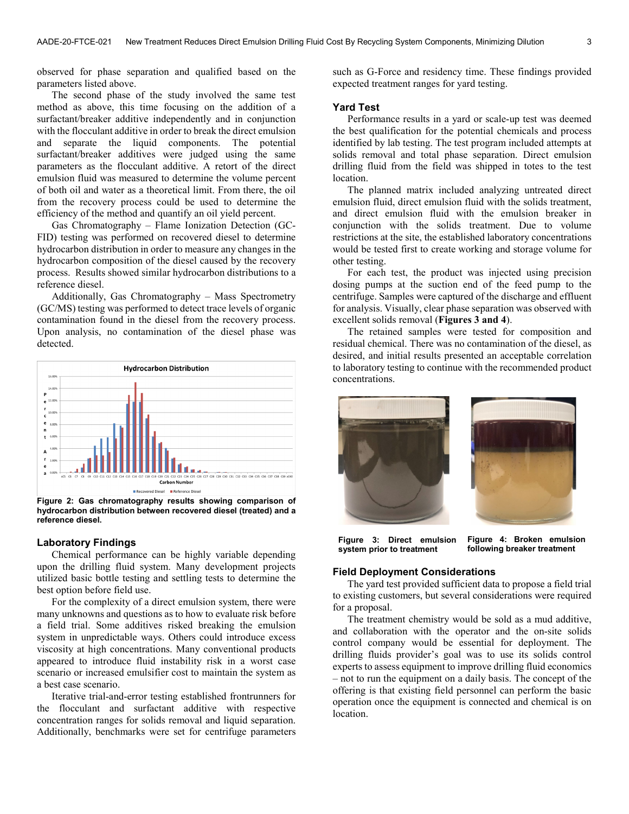observed for phase separation and qualified based on the parameters listed above.

The second phase of the study involved the same test method as above, this time focusing on the addition of a surfactant/breaker additive independently and in conjunction with the flocculant additive in order to break the direct emulsion and separate the liquid components. The potential surfactant/breaker additives were judged using the same parameters as the flocculant additive. A retort of the direct emulsion fluid was measured to determine the volume percent of both oil and water as a theoretical limit. From there, the oil from the recovery process could be used to determine the efficiency of the method and quantify an oil yield percent.

Gas Chromatography – Flame Ionization Detection (GC-FID) testing was performed on recovered diesel to determine hydrocarbon distribution in order to measure any changes in the hydrocarbon composition of the diesel caused by the recovery process. Results showed similar hydrocarbon distributions to a reference diesel.

Additionally, Gas Chromatography – Mass Spectrometry (GC/MS) testing was performed to detect trace levels of organic contamination found in the diesel from the recovery process. Upon analysis, no contamination of the diesel phase was detected.



**Figure 2: Gas chromatography results showing comparison of hydrocarbon distribution between recovered diesel (treated) and a reference diesel.**

# **Laboratory Findings**

Chemical performance can be highly variable depending upon the drilling fluid system. Many development projects utilized basic bottle testing and settling tests to determine the best option before field use.

For the complexity of a direct emulsion system, there were many unknowns and questions as to how to evaluate risk before a field trial. Some additives risked breaking the emulsion system in unpredictable ways. Others could introduce excess viscosity at high concentrations. Many conventional products appeared to introduce fluid instability risk in a worst case scenario or increased emulsifier cost to maintain the system as a best case scenario.

Iterative trial-and-error testing established frontrunners for the flocculant and surfactant additive with respective concentration ranges for solids removal and liquid separation. Additionally, benchmarks were set for centrifuge parameters

such as G-Force and residency time. These findings provided expected treatment ranges for yard testing.

### **Yard Test**

Performance results in a yard or scale-up test was deemed the best qualification for the potential chemicals and process identified by lab testing. The test program included attempts at solids removal and total phase separation. Direct emulsion drilling fluid from the field was shipped in totes to the test location.

The planned matrix included analyzing untreated direct emulsion fluid, direct emulsion fluid with the solids treatment, and direct emulsion fluid with the emulsion breaker in conjunction with the solids treatment. Due to volume restrictions at the site, the established laboratory concentrations would be tested first to create working and storage volume for other testing.

For each test, the product was injected using precision dosing pumps at the suction end of the feed pump to the centrifuge. Samples were captured of the discharge and effluent for analysis. Visually, clear phase separation was observed with excellent solids removal (**Figures 3 and 4**).

The retained samples were tested for composition and residual chemical. There was no contamination of the diesel, as desired, and initial results presented an acceptable correlation to laboratory testing to continue with the recommended product concentrations.



**Figure 3: Direct emulsion system prior to treatment Figure 4: Broken emulsion following breaker treatment**

### **Field Deployment Considerations**

The yard test provided sufficient data to propose a field trial to existing customers, but several considerations were required for a proposal.

The treatment chemistry would be sold as a mud additive, and collaboration with the operator and the on-site solids control company would be essential for deployment. The drilling fluids provider's goal was to use its solids control experts to assess equipment to improve drilling fluid economics – not to run the equipment on a daily basis. The concept of the offering is that existing field personnel can perform the basic operation once the equipment is connected and chemical is on location.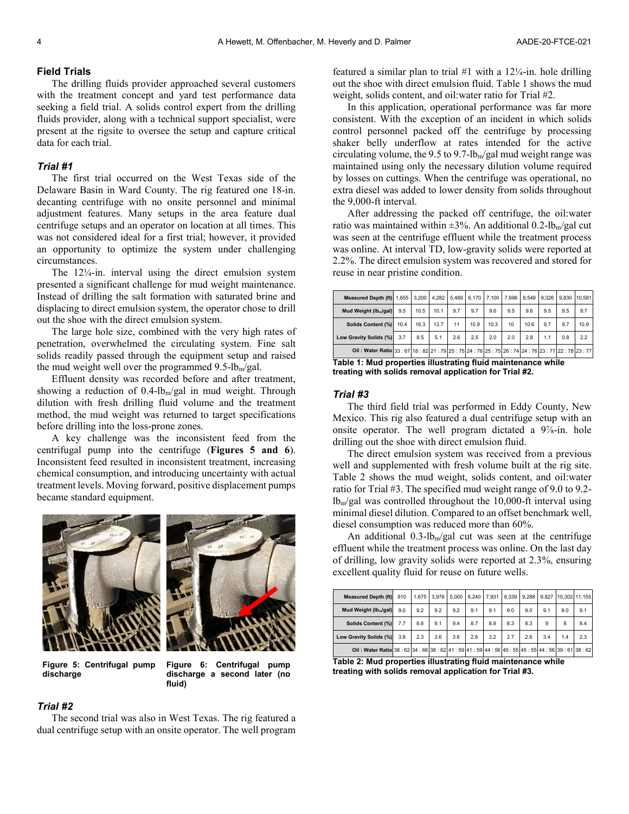#### **Field Trials**

The drilling fluids provider approached several customers with the treatment concept and yard test performance data seeking a field trial. A solids control expert from the drilling fluids provider, along with a technical support specialist, were present at the rigsite to oversee the setup and capture critical data for each trial.

#### *Trial #1*

The first trial occurred on the West Texas side of the Delaware Basin in Ward County. The rig featured one 18-in. decanting centrifuge with no onsite personnel and minimal adjustment features. Many setups in the area feature dual centrifuge setups and an operator on location at all times. This was not considered ideal for a first trial; however, it provided an opportunity to optimize the system under challenging circumstances.

The 12¼-in. interval using the direct emulsion system presented a significant challenge for mud weight maintenance. Instead of drilling the salt formation with saturated brine and displacing to direct emulsion system, the operator chose to drill out the shoe with the direct emulsion system.

The large hole size, combined with the very high rates of penetration, overwhelmed the circulating system. Fine salt solids readily passed through the equipment setup and raised the mud weight well over the programmed  $9.5$ -lb<sub>m</sub>/gal.

Effluent density was recorded before and after treatment, showing a reduction of  $0.4$ -lb<sub>m</sub>/gal in mud weight. Through dilution with fresh drilling fluid volume and the treatment method, the mud weight was returned to target specifications before drilling into the loss-prone zones.

A key challenge was the inconsistent feed from the centrifugal pump into the centrifuge (**Figures 5 and 6**). Inconsistent feed resulted in inconsistent treatment, increasing chemical consumption, and introducing uncertainty with actual treatment levels. Moving forward, positive displacement pumps became standard equipment.



**Figure 5: Centrifugal pump discharge**

**Figure 6: Centrifugal pump discharge a second later (no fluid)**

#### *Trial #2*

The second trial was also in West Texas. The rig featured a dual centrifuge setup with an onsite operator. The well program featured a similar plan to trial  $#1$  with a  $12\frac{1}{4}$ -in. hole drilling out the shoe with direct emulsion fluid. Table 1 shows the mud weight, solids content, and oil:water ratio for Trial #2.

In this application, operational performance was far more consistent. With the exception of an incident in which solids control personnel packed off the centrifuge by processing shaker belly underflow at rates intended for the active circulating volume, the 9.5 to 9.7-lb<sub>m</sub>/gal mud weight range was maintained using only the necessary dilution volume required by losses on cuttings. When the centrifuge was operational, no extra diesel was added to lower density from solids throughout the 9,000-ft interval.

After addressing the packed off centrifuge, the oil:water ratio was maintained within  $\pm 3\%$ . An additional 0.2-lb<sub>m</sub>/gal cut was seen at the centrifuge effluent while the treatment process was online. At interval TD, low-gravity solids were reported at 2.2%. The direct emulsion system was recovered and stored for reuse in near pristine condition.

| Measured Depth (ft) 1.655                                                                     |      |      |      | 3.200 4.282 5.489 |      | 6.170 7.100 | 7.696 8.549 9.326 |      |     |     | 9.830 10.581 |
|-----------------------------------------------------------------------------------------------|------|------|------|-------------------|------|-------------|-------------------|------|-----|-----|--------------|
| Mud Weight (lb <sub>m</sub> /gal)                                                             | 9.5  | 10.5 | 10.1 | 9.7               | 9.7  | 9.6         | 9.5               | 9.6  | 9.5 | 9.5 | 9.7          |
| Solids Content (%)                                                                            | 10.4 | 16.3 | 13.7 | 11                | 10.9 | 10.3        | 10                | 10.6 | 9.7 | 9.7 | 10.9         |
| Low Gravity Solids (%)                                                                        | 3.7  | 8.5  | 5.1  | 2.6               | 2.5  | 2.0         | 2.0               | 2.8  | 1.1 | 0.8 | 2.2          |
| Oil: Water Ratio 33: 67 18: 82 21: 79 25: 75 24: 76 25: 75 26: 74 24: 76 23: 77 22: 78 23: 77 |      |      |      |                   |      |             |                   |      |     |     |              |

**Table 1: Mud properties illustrating fluid maintenance while treating with solids removal application for Trial #2.**

#### *Trial #3*

The third field trial was performed in Eddy County, New Mexico. This rig also featured a dual centrifuge setup with an onsite operator. The well program dictated a 9⅞-in. hole drilling out the shoe with direct emulsion fluid.

The direct emulsion system was received from a previous well and supplemented with fresh volume built at the rig site. Table 2 shows the mud weight, solids content, and oil:water ratio for Trial #3. The specified mud weight range of 9.0 to 9.2  $lb_m/gal$  was controlled throughout the 10,000-ft interval using minimal diesel dilution. Compared to an offset benchmark well, diesel consumption was reduced more than 60%.

An additional  $0.3$ -lb<sub>m</sub>/gal cut was seen at the centrifuge effluent while the treatment process was online. On the last day of drilling, low gravity solids were reported at 2.3%, ensuring excellent quality fluid for reuse on future wells.

| <b>Measured Depth (ft)</b>                                                                    | 810 |     |     |     |     |     |     |     |     |     | 1.675 3.976 5.000 6.240 7.931 8.339 9.288 9.827 10.302 11.155 |
|-----------------------------------------------------------------------------------------------|-----|-----|-----|-----|-----|-----|-----|-----|-----|-----|---------------------------------------------------------------|
| Mud Weight (Ib <sub>m</sub> /gal)                                                             | 9.0 | 9.2 | 9.2 | 9.2 | 9.1 | 9.1 | 9.0 | 9.0 | 9.1 | 9.0 | 9.1                                                           |
| Solids Content (%)                                                                            | 7.7 | 8.6 | 9.1 | 9.4 | 8.7 | 8.9 | 8.3 | 8.3 | 9   | 8   | 8.4                                                           |
| Low Gravity Solids (%)                                                                        | 3.8 | 2.3 | 3.6 | 3.6 | 2.8 | 3.2 | 2.7 | 2.6 | 3.4 | 1.4 | 2.3                                                           |
| Oil: Water Ratio 38: 62 34: 66 38: 62 41: 59 41: 59 44: 56 45: 55 45: 55 44: 56 39: 61 38: 62 |     |     |     |     |     |     |     |     |     |     |                                                               |

**Table 2: Mud properties illustrating fluid maintenance while treating with solids removal application for Trial #3.**